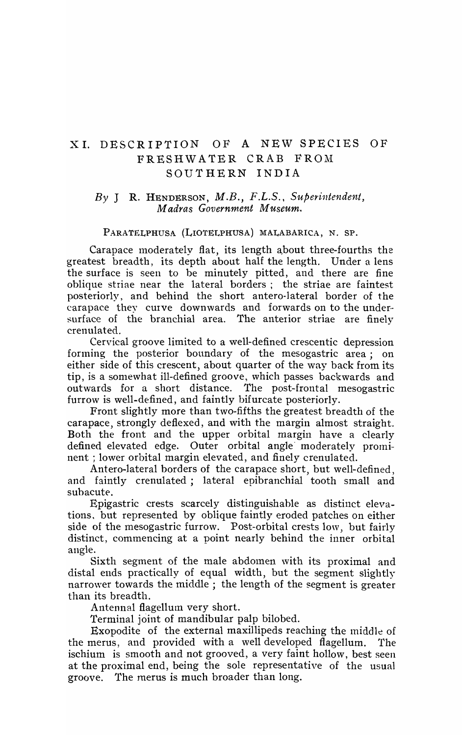## XI. DESCRIPTION OF A NEW SPECIES OF FRESHWATER CRAB FROM SOUTHERN INDIA

## By J R. HENDERSON, *M.B.*, *F.L.S.*, *Superintendent*, *M adra.s Government Museum.*

## PARATELPHUSA (LIOTELPHUSA) MALABARICA, N. SP.

Carapace moderately flat, its length about three-fourths the greatest breadth, its depth about half the length. Under a lens the surface is seen to be minutely pitted, and there are fine oblique striae near the lateral borders; the striae are faintest posteriorly, and behind the short antero·lateral border of the carapace they curve downwards and forwards on to the under·· surface of the branchial area. The anterior striae are finely crenulated.

Cervical groove limited to a well-defined crescentic depression forming the posterior boundary of the mesogastric area; on either side of this crescent, about quarter of the way back from its tip, is a somewhat ill-defined groove, \vhich passes backwards and outwards for a short distance. The post-frontal mesogastric furrow is well-defined, and faintly bifurcate posteriorly.

Front slightly more than two-fifths the greatest breadth of the carapace, strongly deflexed, and with the margin almost straight. Both the front and the upper orbital margin have a clearly defined elevated edge. Outer orbital angle moderately prominent ; lower orbital margin elevated, and finely crenulated.

Antero-lateral borders of the carapace short, but well-defined, and faintly crenulated; lateral epibranchial tooth small and subacute.

Epigastric crests scarcely distinguishable as distinct elevations. but represented by oblique faintly eroded patches on either side of the mesogastric furrow. Post-orbital crests low, but fairly distinct, commencing at a point nearly behind the inner orbital angle.

Sixth segment of the male abdomen with its proximal and distal ends practically of equal width, but the segment slightly narrower towards the middle; the length of the segment is greater than its breadth.

Antennal flagellum very short.

Terminal joint of mandibular palp bilobed.

Exopodite of the external maxillipeds reaching the middle of the merus, and provided with a well developed flagellum. The ischium is smooth and not grooved, a very faint hollow, best seen at the proximal end, being the sole representative of the usual groove. The merus is much broader than long.